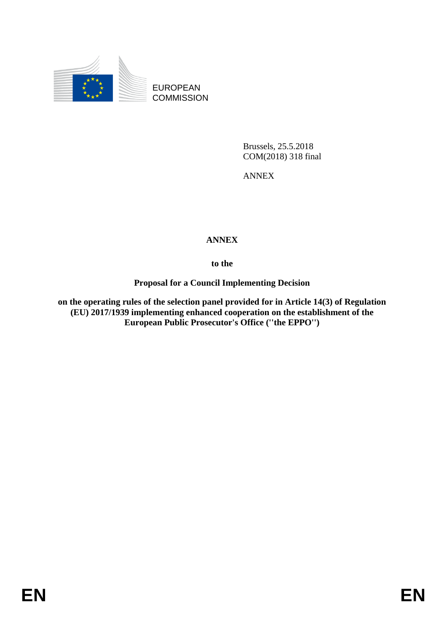

EUROPEAN **COMMISSION** 

> Brussels, 25.5.2018 COM(2018) 318 final

ANNEX

## **ANNEX**

**to the** 

**Proposal for a Council Implementing Decision**

**on the operating rules of the selection panel provided for in Article 14(3) of Regulation (EU) 2017/1939 implementing enhanced cooperation on the establishment of the European Public Prosecutor's Office (''the EPPO'')**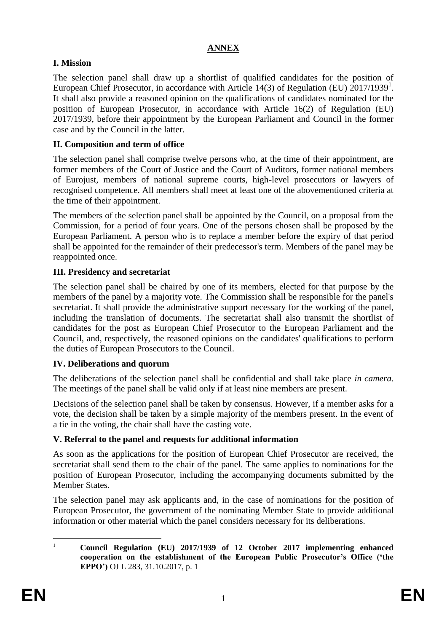### **ANNEX**

### **I. Mission**

The selection panel shall draw up a shortlist of qualified candidates for the position of European Chief Prosecutor, in accordance with Article 14(3) of Regulation (EU)  $2017/1939<sup>1</sup>$ . It shall also provide a reasoned opinion on the qualifications of candidates nominated for the position of European Prosecutor, in accordance with Article 16(2) of Regulation (EU) 2017/1939, before their appointment by the European Parliament and Council in the former case and by the Council in the latter.

### **II. Composition and term of office**

The selection panel shall comprise twelve persons who, at the time of their appointment, are former members of the Court of Justice and the Court of Auditors, former national members of Eurojust, members of national supreme courts, high-level prosecutors or lawyers of recognised competence. All members shall meet at least one of the abovementioned criteria at the time of their appointment.

The members of the selection panel shall be appointed by the Council, on a proposal from the Commission, for a period of four years. One of the persons chosen shall be proposed by the European Parliament. A person who is to replace a member before the expiry of that period shall be appointed for the remainder of their predecessor's term. Members of the panel may be reappointed once.

## **III. Presidency and secretariat**

The selection panel shall be chaired by one of its members, elected for that purpose by the members of the panel by a majority vote. The Commission shall be responsible for the panel's secretariat. It shall provide the administrative support necessary for the working of the panel, including the translation of documents. The secretariat shall also transmit the shortlist of candidates for the post as European Chief Prosecutor to the European Parliament and the Council, and, respectively, the reasoned opinions on the candidates' qualifications to perform the duties of European Prosecutors to the Council.

## **IV. Deliberations and quorum**

The deliberations of the selection panel shall be confidential and shall take place *in camera*. The meetings of the panel shall be valid only if at least nine members are present.

Decisions of the selection panel shall be taken by consensus. However, if a member asks for a vote, the decision shall be taken by a simple majority of the members present. In the event of a tie in the voting, the chair shall have the casting vote.

## **V. Referral to the panel and requests for additional information**

As soon as the applications for the position of European Chief Prosecutor are received, the secretariat shall send them to the chair of the panel. The same applies to nominations for the position of European Prosecutor, including the accompanying documents submitted by the Member States.

The selection panel may ask applicants and, in the case of nominations for the position of European Prosecutor, the government of the nominating Member State to provide additional information or other material which the panel considers necessary for its deliberations.

 $\mathbf{1}$ <sup>1</sup> **Council Regulation (EU) 2017/1939 of 12 October 2017 implementing enhanced cooperation on the establishment of the European Public Prosecutor's Office ('the EPPO')** OJ L 283, 31.10.2017, p. 1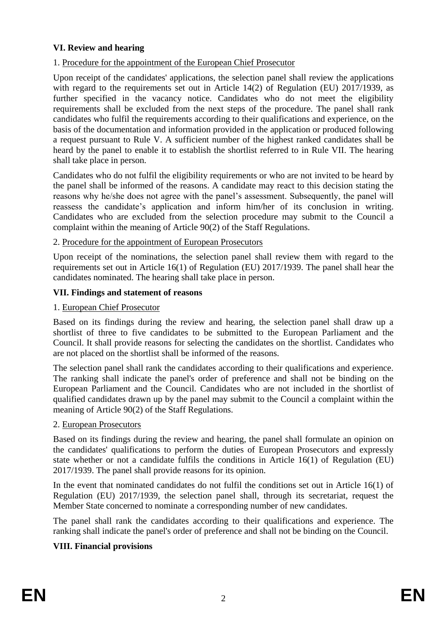#### **VI. Review and hearing**

#### 1. Procedure for the appointment of the European Chief Prosecutor

Upon receipt of the candidates' applications, the selection panel shall review the applications with regard to the requirements set out in Article 14(2) of Regulation (EU) 2017/1939, as further specified in the vacancy notice. Candidates who do not meet the eligibility requirements shall be excluded from the next steps of the procedure. The panel shall rank candidates who fulfil the requirements according to their qualifications and experience, on the basis of the documentation and information provided in the application or produced following a request pursuant to Rule V. A sufficient number of the highest ranked candidates shall be heard by the panel to enable it to establish the shortlist referred to in Rule VII. The hearing shall take place in person.

Candidates who do not fulfil the eligibility requirements or who are not invited to be heard by the panel shall be informed of the reasons. A candidate may react to this decision stating the reasons why he/she does not agree with the panel's assessment. Subsequently, the panel will reassess the candidate's application and inform him/her of its conclusion in writing. Candidates who are excluded from the selection procedure may submit to the Council a complaint within the meaning of Article 90(2) of the Staff Regulations.

#### 2. Procedure for the appointment of European Prosecutors

Upon receipt of the nominations, the selection panel shall review them with regard to the requirements set out in Article 16(1) of Regulation (EU) 2017/1939. The panel shall hear the candidates nominated. The hearing shall take place in person.

#### **VII. Findings and statement of reasons**

#### 1. European Chief Prosecutor

Based on its findings during the review and hearing, the selection panel shall draw up a shortlist of three to five candidates to be submitted to the European Parliament and the Council. It shall provide reasons for selecting the candidates on the shortlist. Candidates who are not placed on the shortlist shall be informed of the reasons.

The selection panel shall rank the candidates according to their qualifications and experience. The ranking shall indicate the panel's order of preference and shall not be binding on the European Parliament and the Council. Candidates who are not included in the shortlist of qualified candidates drawn up by the panel may submit to the Council a complaint within the meaning of Article 90(2) of the Staff Regulations.

#### 2. European Prosecutors

Based on its findings during the review and hearing, the panel shall formulate an opinion on the candidates' qualifications to perform the duties of European Prosecutors and expressly state whether or not a candidate fulfils the conditions in Article 16(1) of Regulation (EU) 2017/1939. The panel shall provide reasons for its opinion.

In the event that nominated candidates do not fulfil the conditions set out in Article 16(1) of Regulation (EU) 2017/1939, the selection panel shall, through its secretariat, request the Member State concerned to nominate a corresponding number of new candidates.

The panel shall rank the candidates according to their qualifications and experience. The ranking shall indicate the panel's order of preference and shall not be binding on the Council.

### **VIII. Financial provisions**